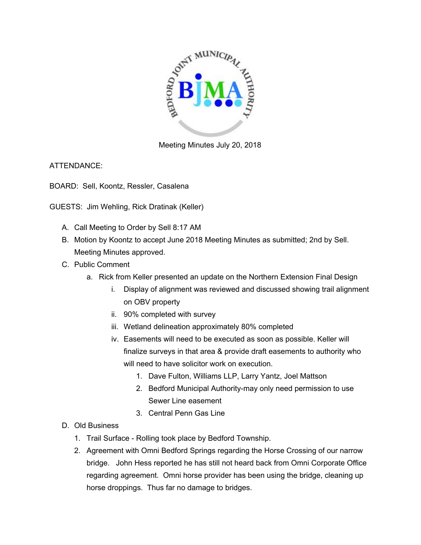

Meeting Minutes July 20, 2018

ATTENDANCE:

BOARD: Sell, Koontz, Ressler, Casalena

GUESTS: Jim Wehling, Rick Dratinak (Keller)

- A. Call Meeting to Order by Sell 8:17 AM
- B. Motion by Koontz to accept June 2018 Meeting Minutes as submitted; 2nd by Sell. Meeting Minutes approved.
- C. Public Comment
	- a. Rick from Keller presented an update on the Northern Extension Final Design
		- i. Display of alignment was reviewed and discussed showing trail alignment on OBV property
		- ii. 90% completed with survey
		- iii. Wetland delineation approximately 80% completed
		- iv. Easements will need to be executed as soon as possible. Keller will finalize surveys in that area & provide draft easements to authority who will need to have solicitor work on execution.
			- 1. Dave Fulton, Williams LLP, Larry Yantz, Joel Mattson
			- 2. Bedford Municipal Authority-may only need permission to use Sewer Line easement
			- 3. Central Penn Gas Line
- D. Old Business
	- 1. Trail Surface Rolling took place by Bedford Township.
	- 2. Agreement with Omni Bedford Springs regarding the Horse Crossing of our narrow bridge. John Hess reported he has still not heard back from Omni Corporate Office regarding agreement. Omni horse provider has been using the bridge, cleaning up horse droppings. Thus far no damage to bridges.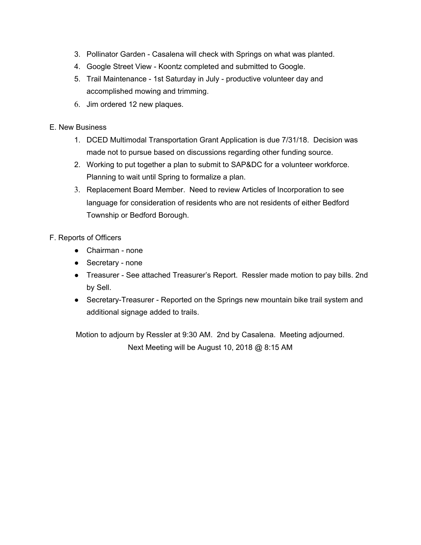- 3. Pollinator Garden Casalena will check with Springs on what was planted.
- 4. Google Street View Koontz completed and submitted to Google.
- 5. Trail Maintenance 1st Saturday in July productive volunteer day and accomplished mowing and trimming.
- 6. Jim ordered 12 new plaques.

## E. New Business

- 1. DCED Multimodal Transportation Grant Application is due 7/31/18. Decision was made not to pursue based on discussions regarding other funding source.
- 2. Working to put together a plan to submit to SAP&DC for a volunteer workforce. Planning to wait until Spring to formalize a plan.
- 3. Replacement Board Member. Need to review Articles of Incorporation to see language for consideration of residents who are not residents of either Bedford Township or Bedford Borough.

## F. Reports of Officers

- Chairman none
- Secretary none
- Treasurer See attached Treasurer's Report. Ressler made motion to pay bills. 2nd by Sell.
- Secretary-Treasurer Reported on the Springs new mountain bike trail system and additional signage added to trails.

Motion to adjourn by Ressler at 9:30 AM. 2nd by Casalena. Meeting adjourned. Next Meeting will be August 10, 2018 @ 8:15 AM